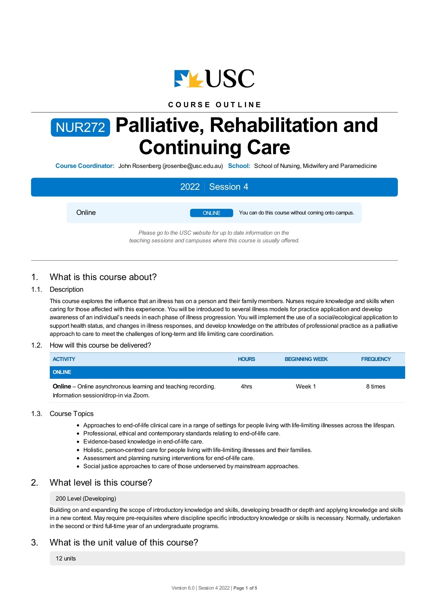

## **C O U R S E O U T L I N E**

# NUR272 **Palliative, Rehabilitation and Continuing Care**

**Course Coordinator:** John Rosenberg (jrosenbe@usc.edu.au) **School:** School of Nursing, Midwifery and Paramedicine

| 2022 Session 4 |        |                                                                |                                                    |  |
|----------------|--------|----------------------------------------------------------------|----------------------------------------------------|--|
|                | Online | <b>ONLINE</b>                                                  | You can do this course without coming onto campus. |  |
|                |        | Please go to the USC website for up to date information on the |                                                    |  |

*teaching sessions and campuses where this course is usually offered.*

# 1. What is this course about?

## 1.1. Description

This course explores the influence that an illness has on a person and their family members. Nurses require knowledge and skills when caring for those affected with this experience. You will be introduced to several illness models for practice application and develop awareness of an individual's needs in each phase of illness progression. You will implement the use of a social/ecological application to support health status, and changes in illness responses, and develop knowledge on the attributes of professional practice as a palliative approach to care to meet the challenges of long-term and life limiting care coordination.

## 1.2. How will this course be delivered?

| <b>ACTIVITY</b>                                                                                               | <b>HOURS</b> | <b>BEGINNING WEEK</b> | <b>FREQUENCY</b> |
|---------------------------------------------------------------------------------------------------------------|--------------|-----------------------|------------------|
| <b>ONLINE</b>                                                                                                 |              |                       |                  |
| <b>Online</b> – Online asynchronous learning and teaching recording.<br>Information session/drop-in via Zoom. | 4hrs         | Week 1                | 8 times          |

## 1.3. Course Topics

- Approaches to end-of-life clinical care in a range of settings for people living with life-limiting illnesses across the lifespan.
- Professional, ethical and contemporary standards relating to end-of-life care.
- Evidence-based knowledge in end-of-life care.
- Holistic, person-centred care for people living with life-limiting illnesses and their families.
- Assessment and planning nursing interventions for end-of-life care.
- Social justice approaches to care of those underserved by mainstream approaches.

# 2. What level is this course?

#### 200 Level (Developing)

Building on and expanding the scope of introductory knowledge and skills, developing breadth or depth and applying knowledge and skills in a new context. May require pre-requisites where discipline specific introductory knowledge or skills is necessary. Normally, undertaken in the second or third full-time year of an undergraduate programs.

# 3. What is the unit value of this course?

12 units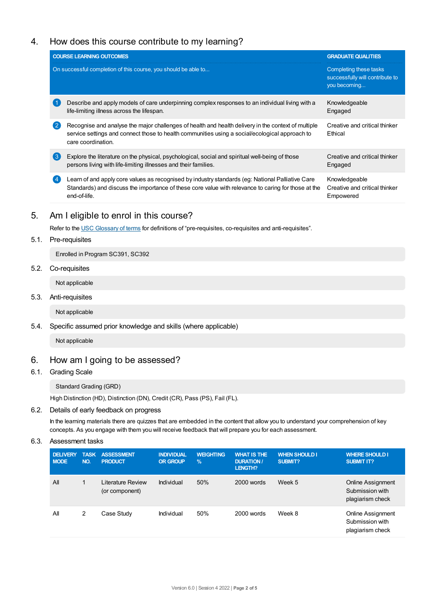# 4. How does this course contribute to my learning?

| <b>COURSE LEARNING OUTCOMES</b><br><b>GRADUATE QUALITIES</b>                                                                                                                                                                                                           |  |  |  |  |
|------------------------------------------------------------------------------------------------------------------------------------------------------------------------------------------------------------------------------------------------------------------------|--|--|--|--|
| Completing these tasks<br>successfully will contribute to<br>you becoming                                                                                                                                                                                              |  |  |  |  |
| Describe and apply models of care underpinning complex responses to an individual living with a<br>Knowledgeable<br>Engaged                                                                                                                                            |  |  |  |  |
| Recognise and analyse the major challenges of health and health delivery in the context of multiple<br>Creative and critical thinker<br>Ethical                                                                                                                        |  |  |  |  |
| Creative and critical thinker<br>Engaged                                                                                                                                                                                                                               |  |  |  |  |
| Learn of and apply core values as recognised by industry standards (eg: National Palliative Care<br>Knowledgeable<br>Standards) and discuss the importance of these core value with relevance to caring for those at the<br>Creative and critical thinker<br>Empowered |  |  |  |  |
| service settings and connect those to health communities using a social/ecological approach to                                                                                                                                                                         |  |  |  |  |

# 5. Am Ieligible to enrol in this course?

Refer to the USC [Glossary](https://www.usc.edu.au/about/policies-and-procedures/glossary-of-terms-for-policy-and-procedures) of terms for definitions of "pre-requisites, co-requisites and anti-requisites".

## 5.1. Pre-requisites

Enrolled in Program SC391, SC392

### 5.2. Co-requisites

Not applicable

### 5.3. Anti-requisites

Not applicable

## 5.4. Specific assumed prior knowledge and skills (where applicable)

Not applicable

# 6. How am Igoing to be assessed?

# 6.1. Grading Scale

## Standard Grading (GRD)

High Distinction (HD), Distinction (DN), Credit (CR), Pass (PS), Fail (FL).

## 6.2. Details of early feedback on progress

In the learning materials there are quizzes that are embedded in the content that allow you to understand your comprehension of key concepts. As you engage with them you will receive feedback that will prepare you for each assessment.

## 6.3. Assessment tasks

| <b>DELIVERY</b><br><b>MODE</b> | <b>TASK</b><br>NO. | <b>ASSESSMENT</b><br><b>PRODUCT</b> | <b>INDIVIDUAL</b><br><b>OR GROUP</b> | <b>WEIGHTING</b><br>$\frac{9}{6}$ | <b>WHAT IS THE</b><br><b>DURATION /</b><br><b>LENGTH?</b> | <b>WHEN SHOULD I</b><br><b>SUBMIT?</b> | <b>WHERE SHOULD I</b><br><b>SUBMIT IT?</b>                      |
|--------------------------------|--------------------|-------------------------------------|--------------------------------------|-----------------------------------|-----------------------------------------------------------|----------------------------------------|-----------------------------------------------------------------|
| All                            |                    | Literature Review<br>(or component) | Individual                           | 50%                               | 2000 words                                                | Week 5                                 | <b>Online Assignment</b><br>Submission with<br>plagiarism check |
| All                            | 2                  | Case Study                          | Individual                           | 50%                               | 2000 words                                                | Week 8                                 | Online Assignment<br>Submission with<br>plagiarism check        |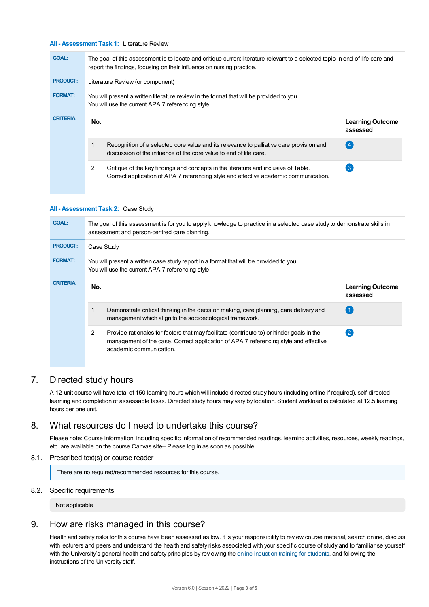#### **All - Assessment Task 1:** Literature Review

| <b>GOAL:</b>     | The goal of this assessment is to locate and critique current literature relevant to a selected topic in end-of-life care and<br>report the findings, focusing on their influence on nursing practice. |                                                                                                                                                                             |                                     |  |  |
|------------------|--------------------------------------------------------------------------------------------------------------------------------------------------------------------------------------------------------|-----------------------------------------------------------------------------------------------------------------------------------------------------------------------------|-------------------------------------|--|--|
| <b>PRODUCT:</b>  | Literature Review (or component)                                                                                                                                                                       |                                                                                                                                                                             |                                     |  |  |
| <b>FORMAT:</b>   | You will present a written literature review in the format that will be provided to you.<br>You will use the current APA 7 referencing style.                                                          |                                                                                                                                                                             |                                     |  |  |
| <b>CRITERIA:</b> | No.                                                                                                                                                                                                    |                                                                                                                                                                             | <b>Learning Outcome</b><br>assessed |  |  |
|                  |                                                                                                                                                                                                        | Recognition of a selected core value and its relevance to palliative care provision and<br>discussion of the influence of the core value to end of life care.               | 4                                   |  |  |
|                  | 2                                                                                                                                                                                                      | Critique of the key findings and concepts in the literature and inclusive of Table.<br>Correct application of APA 7 referencing style and effective academic communication. | $\left(3\right)$                    |  |  |
|                  |                                                                                                                                                                                                        |                                                                                                                                                                             |                                     |  |  |

#### **All - Assessment Task 2:** Case Study

| <b>GOAL:</b>     | The goal of this assessment is for you to apply knowledge to practice in a selected case study to demonstrate skills in<br>assessment and person-centred care planning.                                           |                                     |  |  |  |  |
|------------------|-------------------------------------------------------------------------------------------------------------------------------------------------------------------------------------------------------------------|-------------------------------------|--|--|--|--|
| <b>PRODUCT:</b>  | Case Study                                                                                                                                                                                                        |                                     |  |  |  |  |
| <b>FORMAT:</b>   | You will present a written case study report in a format that will be provided to you.<br>You will use the current APA 7 referencing style.                                                                       |                                     |  |  |  |  |
| <b>CRITERIA:</b> | No.                                                                                                                                                                                                               | <b>Learning Outcome</b><br>assessed |  |  |  |  |
|                  | Demonstrate critical thinking in the decision making, care planning, care delivery and<br>management which align to the socioecological framework.                                                                |                                     |  |  |  |  |
|                  | 2<br>Provide rationales for factors that may facilitate (contribute to) or hinder goals in the<br>management of the case. Correct application of APA 7 referencing style and effective<br>academic communication. | $\overline{2}$                      |  |  |  |  |
|                  |                                                                                                                                                                                                                   |                                     |  |  |  |  |

## 7. Directed study hours

A 12-unit course will have total of 150 learning hours which will include directed study hours (including online if required), self-directed learning and completion of assessable tasks. Directed study hours may vary by location. Student workload is calculated at 12.5 learning hours per one unit.

## 8. What resources do I need to undertake this course?

Please note: Course information, including specific information of recommended readings, learning activities, resources, weekly readings, etc. are available on the course Canvas site– Please log in as soon as possible.

#### 8.1. Prescribed text(s) or course reader

There are no required/recommended resources for this course.

#### 8.2. Specific requirements

Not applicable

# 9. How are risks managed in this course?

Health and safety risks for this course have been assessed as low. It is your responsibility to review course material, search online, discuss with lecturers and peers and understand the health and safety risks associated with your specific course of study and to familiarise yourself with the University's general health and safety principles by reviewing the online [induction](https://online.usc.edu.au/webapps/blackboard/content/listContentEditable.jsp?content_id=_632657_1&course_id=_14432_1) training for students, and following the instructions of the University staff.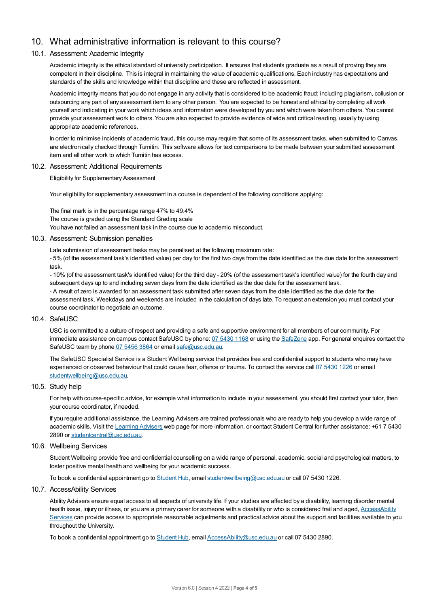# 10. What administrative information is relevant to this course?

## 10.1. Assessment: Academic Integrity

Academic integrity is the ethical standard of university participation. It ensures that students graduate as a result of proving they are competent in their discipline. This is integral in maintaining the value of academic qualifications. Each industry has expectations and standards of the skills and knowledge within that discipline and these are reflected in assessment.

Academic integrity means that you do not engage in any activity that is considered to be academic fraud; including plagiarism, collusion or outsourcing any part of any assessment item to any other person. You are expected to be honest and ethical by completing all work yourself and indicating in your work which ideas and information were developed by you and which were taken from others. You cannot provide your assessment work to others.You are also expected to provide evidence of wide and critical reading, usually by using appropriate academic references.

In order to minimise incidents of academic fraud, this course may require that some of its assessment tasks, when submitted to Canvas, are electronically checked through Turnitin. This software allows for text comparisons to be made between your submitted assessment item and all other work to which Turnitin has access.

#### 10.2. Assessment: Additional Requirements

Eligibility for Supplementary Assessment

Your eligibility for supplementary assessment in a course is dependent of the following conditions applying:

The final mark is in the percentage range 47% to 49.4% The course is graded using the Standard Grading scale You have not failed an assessment task in the course due to academic misconduct.

#### 10.3. Assessment: Submission penalties

Late submission of assessment tasks may be penalised at the following maximum rate:

- 5% (of the assessment task's identified value) per day for the first two days from the date identified as the due date for the assessment task.

- 10% (of the assessment task's identified value) for the third day - 20% (of the assessment task's identified value) for the fourth day and subsequent days up to and including seven days from the date identified as the due date for the assessment task. - A result of zero is awarded for an assessment task submitted after seven days from the date identified as the due date for the assessment task. Weekdays and weekends are included in the calculation of days late. To request an extension you must contact your course coordinator to negotiate an outcome.

#### 10.4. SafeUSC

USC is committed to a culture of respect and providing a safe and supportive environment for all members of our community. For immediate assistance on campus contact SafeUSC by phone: 07 [5430](tel:07%205430%201168) 1168 or using the [SafeZone](https://www.safezoneapp.com) app. For general enquires contact the SafeUSC team by phone 07 [5456](tel:07%205456%203864) 3864 or email [safe@usc.edu.au](mailto:safe@usc.edu.au).

The SafeUSC Specialist Service is a Student Wellbeing service that provides free and confidential support to students who may have experienced or observed behaviour that could cause fear, offence or trauma. To contact the service call 07 [5430](tel:07%205430%201226) 1226 or email [studentwellbeing@usc.edu.au](mailto:studentwellbeing@usc.edu.au).

#### 10.5. Study help

For help with course-specific advice, for example what information to include in your assessment, you should first contact your tutor, then your course coordinator, if needed.

If you require additional assistance, the Learning Advisers are trained professionals who are ready to help you develop a wide range of academic skills. Visit the Learning [Advisers](https://www.usc.edu.au/current-students/student-support/academic-and-study-support/learning-advisers) web page for more information, or contact Student Central for further assistance: +61 7 5430 2890 or [studentcentral@usc.edu.au](mailto:studentcentral@usc.edu.au).

#### 10.6. Wellbeing Services

Student Wellbeing provide free and confidential counselling on a wide range of personal, academic, social and psychological matters, to foster positive mental health and wellbeing for your academic success.

To book a confidential appointment go to [Student](https://studenthub.usc.edu.au/) Hub, email [studentwellbeing@usc.edu.au](mailto:studentwellbeing@usc.edu.au) or call 07 5430 1226.

#### 10.7. AccessAbility Services

Ability Advisers ensure equal access to all aspects of university life. If your studies are affected by a disability, learning disorder mental health issue, injury or illness, or you are a primary carer for someone with a disability or who is considered frail and aged, [AccessAbility](https://www.usc.edu.au/learn/student-support/accessability-services/documentation-requirements) Services can provide access to appropriate reasonable adjustments and practical advice about the support and facilities available to you throughout the University.

To book a confidential appointment go to [Student](https://studenthub.usc.edu.au/) Hub, email [AccessAbility@usc.edu.au](mailto:AccessAbility@usc.edu.au) or call 07 5430 2890.